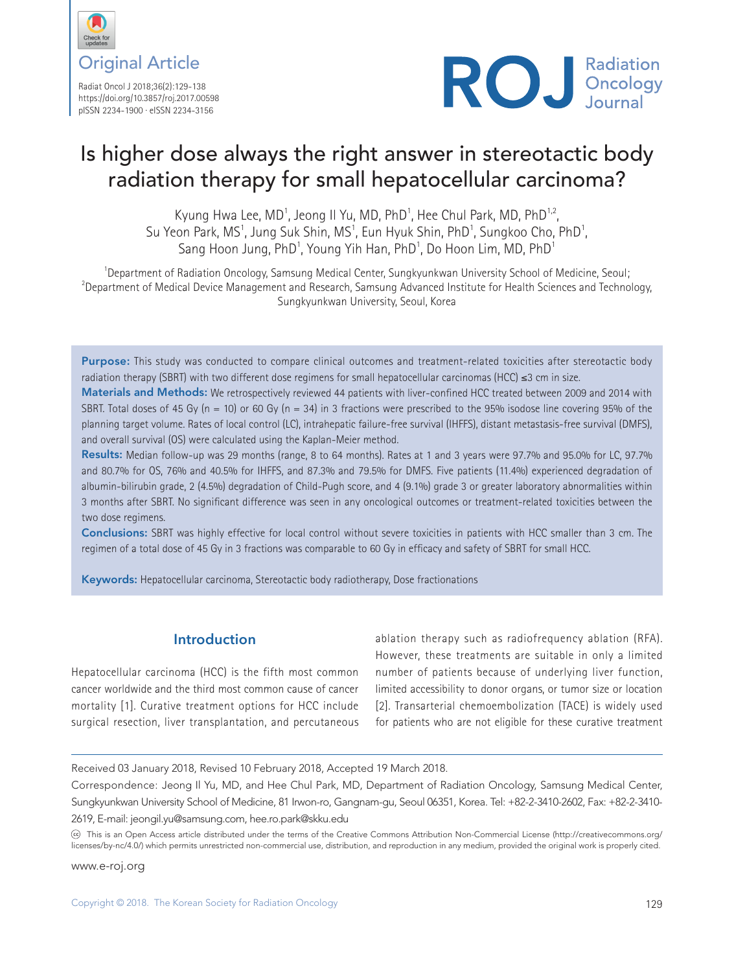

Radiat Oncol J 2018;36(2):129-138 https://doi.org/10.3857/roj.2017.00598 pISSN 2234-1900 · eISSN 2234-3156



# Is higher dose always the right answer in stereotactic body radiation therapy for small hepatocellular carcinoma?

Kyung Hwa Lee, MD<sup>1</sup>, Jeong II Yu, MD, PhD<sup>1</sup>, Hee Chul Park, MD, PhD<sup>1,2</sup>, Su Yeon Park, MS<sup>1</sup>, Jung Suk Shin, MS<sup>1</sup>, Eun Hyuk Shin, PhD<sup>1</sup>, Sungkoo Cho, PhD<sup>1</sup> , Sang Hoon Jung, PhD<sup>1</sup>, Young Yih Han, PhD<sup>1</sup>, Do Hoon Lim, MD, PhD<sup>1</sup>

<sup>1</sup> Department of Radiation Oncology, Samsung Medical Center, Sungkyunkwan University School of Medicine, Seoul;<br><sup>2</sup> Department of Medical Davise Management and Research, Samsung Advanced Institute for Health Sciences and <sup>2</sup> Department of Medical Device Management and Research, Samsung Advanced Institute for Health Sciences and Technology, Sungkyunkwan University, Seoul, Korea

Purpose: This study was conducted to compare clinical outcomes and treatment-related toxicities after stereotactic body radiation therapy (SBRT) with two different dose regimens for small hepatocellular carcinomas (HCC) ≤3 cm in size.

Materials and Methods: We retrospectively reviewed 44 patients with liver-confined HCC treated between 2009 and 2014 with SBRT. Total doses of 45 Gy ( $n = 10$ ) or 60 Gy ( $n = 34$ ) in 3 fractions were prescribed to the 95% isodose line covering 95% of the planning target volume. Rates of local control (LC), intrahepatic failure-free survival (IHFFS), distant metastasis-free survival (DMFS), and overall survival (OS) were calculated using the Kaplan-Meier method.

Results: Median follow-up was 29 months (range, 8 to 64 months). Rates at 1 and 3 years were 97.7% and 95.0% for LC, 97.7% and 80.7% for OS, 76% and 40.5% for IHFFS, and 87.3% and 79.5% for DMFS. Five patients (11.4%) experienced degradation of albumin-bilirubin grade, 2 (4.5%) degradation of Child-Pugh score, and 4 (9.1%) grade 3 or greater laboratory abnormalities within 3 months after SBRT. No significant difference was seen in any oncological outcomes or treatment-related toxicities between the two dose regimens.

Conclusions: SBRT was highly effective for local control without severe toxicities in patients with HCC smaller than 3 cm. The regimen of a total dose of 45 Gy in 3 fractions was comparable to 60 Gy in efficacy and safety of SBRT for small HCC.

Keywords: Hepatocellular carcinoma, Stereotactic body radiotherapy, Dose fractionations

# **Introduction**

Hepatocellular carcinoma (HCC) is the fifth most common cancer worldwide and the third most common cause of cancer mortality [1]. Curative treatment options for HCC include surgical resection, liver transplantation, and percutaneous

ablation therapy such as radiofrequency ablation (RFA). However, these treatments are suitable in only a limited number of patients because of underlying liver function, limited accessibility to donor organs, or tumor size or location [2]. Transarterial chemoembolization (TACE) is widely used for patients who are not eligible for these curative treatment

Received 03 January 2018, Revised 10 February 2018, Accepted 19 March 2018.

Correspondence: Jeong Il Yu, MD, and Hee Chul Park, MD, Department of Radiation Oncology, Samsung Medical Center, Sungkyunkwan University School of Medicine, 81 Irwon-ro, Gangnam-gu, Seoul 06351, Korea. Tel: +82-2-3410-2602, Fax: +82-2-3410- 2619, E-mail: jeongil.yu@samsung.com, hee.ro.park@skku.edu

This is an Open Access article distributed under the terms of the Creative Commons Attribution Non-Commercial License (http://creativecommons.org/ licenses/by-nc/4.0/) which permits unrestricted non-commercial use, distribution, and reproduction in any medium, provided the original work is properly cited.

www.e-roj.org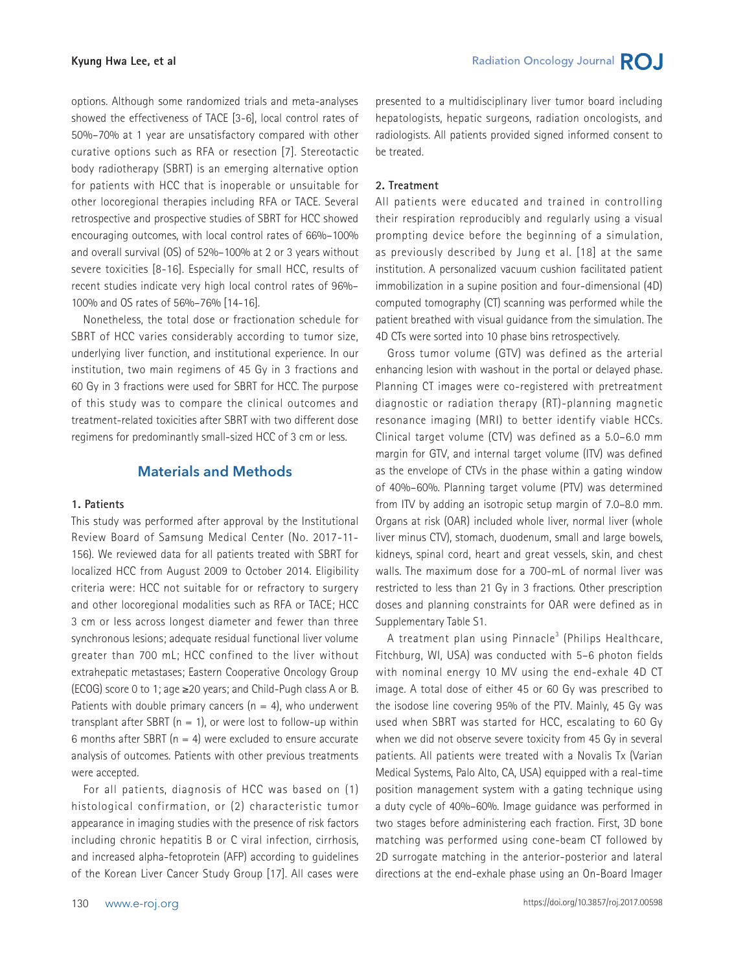options. Although some randomized trials and meta-analyses showed the effectiveness of TACE [3-6], local control rates of 50%–70% at 1 year are unsatisfactory compared with other curative options such as RFA or resection [7]. Stereotactic body radiotherapy (SBRT) is an emerging alternative option for patients with HCC that is inoperable or unsuitable for other locoregional therapies including RFA or TACE. Several retrospective and prospective studies of SBRT for HCC showed encouraging outcomes, with local control rates of 66%–100% and overall survival (OS) of 52%–100% at 2 or 3 years without severe toxicities [8-16]. Especially for small HCC, results of recent studies indicate very high local control rates of 96%– 100% and OS rates of 56%–76% [14-16].

Nonetheless, the total dose or fractionation schedule for SBRT of HCC varies considerably according to tumor size, underlying liver function, and institutional experience. In our institution, two main regimens of 45 Gy in 3 fractions and 60 Gy in 3 fractions were used for SBRT for HCC. The purpose of this study was to compare the clinical outcomes and treatment-related toxicities after SBRT with two different dose regimens for predominantly small-sized HCC of 3 cm or less.

### **Materials and Methods**

#### **1. Patients**

This study was performed after approval by the Institutional Review Board of Samsung Medical Center (No. 2017-11- 156). We reviewed data for all patients treated with SBRT for localized HCC from August 2009 to October 2014. Eligibility criteria were: HCC not suitable for or refractory to surgery and other locoregional modalities such as RFA or TACE; HCC 3 cm or less across longest diameter and fewer than three synchronous lesions; adequate residual functional liver volume greater than 700 mL; HCC confined to the liver without extrahepatic metastases; Eastern Cooperative Oncology Group (ECOG) score 0 to 1; age ≥20 years; and Child-Pugh class A or B. Patients with double primary cancers  $(n = 4)$ , who underwent transplant after SBRT  $(n = 1)$ , or were lost to follow-up within 6 months after SBRT ( $n = 4$ ) were excluded to ensure accurate analysis of outcomes. Patients with other previous treatments were accepted.

For all patients, diagnosis of HCC was based on (1) histological confirmation, or (2) characteristic tumor appearance in imaging studies with the presence of risk factors including chronic hepatitis B or C viral infection, cirrhosis, and increased alpha-fetoprotein (AFP) according to guidelines of the Korean Liver Cancer Study Group [17]. All cases were presented to a multidisciplinary liver tumor board including hepatologists, hepatic surgeons, radiation oncologists, and radiologists. All patients provided signed informed consent to be treated.

#### **2. Treatment**

All patients were educated and trained in controlling their respiration reproducibly and regularly using a visual prompting device before the beginning of a simulation, as previously described by Jung et al. [18] at the same institution. A personalized vacuum cushion facilitated patient immobilization in a supine position and four-dimensional (4D) computed tomography (CT) scanning was performed while the patient breathed with visual guidance from the simulation. The 4D CTs were sorted into 10 phase bins retrospectively.

Gross tumor volume (GTV) was defined as the arterial enhancing lesion with washout in the portal or delayed phase. Planning CT images were co-registered with pretreatment diagnostic or radiation therapy (RT)-planning magnetic resonance imaging (MRI) to better identify viable HCCs. Clinical target volume (CTV) was defined as a 5.0–6.0 mm margin for GTV, and internal target volume (ITV) was defined as the envelope of CTVs in the phase within a gating window of 40%–60%. Planning target volume (PTV) was determined from ITV by adding an isotropic setup margin of 7.0–8.0 mm. Organs at risk (OAR) included whole liver, normal liver (whole liver minus CTV), stomach, duodenum, small and large bowels, kidneys, spinal cord, heart and great vessels, skin, and chest walls. The maximum dose for a 700-mL of normal liver was restricted to less than 21 Gy in 3 fractions. Other prescription doses and planning constraints for OAR were defined as in Supplementary Table S1.

A treatment plan using Pinnacle<sup>3</sup> (Philips Healthcare, Fitchburg, WI, USA) was conducted with 5–6 photon fields with nominal energy 10 MV using the end-exhale 4D CT image. A total dose of either 45 or 60 Gy was prescribed to the isodose line covering 95% of the PTV. Mainly, 45 Gy was used when SBRT was started for HCC, escalating to 60 Gy when we did not observe severe toxicity from 45 Gy in several patients. All patients were treated with a Novalis Tx (Varian Medical Systems, Palo Alto, CA, USA) equipped with a real-time position management system with a gating technique using a duty cycle of 40%–60%. Image guidance was performed in two stages before administering each fraction. First, 3D bone matching was performed using cone-beam CT followed by 2D surrogate matching in the anterior-posterior and lateral directions at the end-exhale phase using an On-Board Imager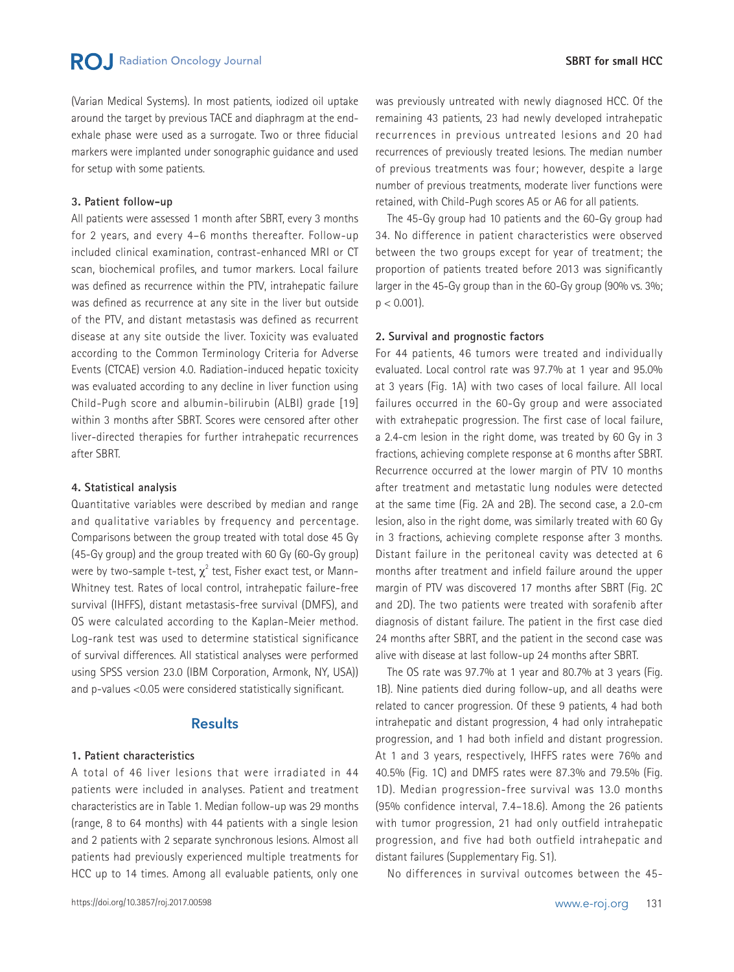(Varian Medical Systems). In most patients, iodized oil uptake around the target by previous TACE and diaphragm at the endexhale phase were used as a surrogate. Two or three fiducial markers were implanted under sonographic guidance and used for setup with some patients.

#### **3. Patient follow-up**

All patients were assessed 1 month after SBRT, every 3 months for 2 years, and every 4–6 months thereafter. Follow-up included clinical examination, contrast-enhanced MRI or CT scan, biochemical profiles, and tumor markers. Local failure was defined as recurrence within the PTV, intrahepatic failure was defined as recurrence at any site in the liver but outside of the PTV, and distant metastasis was defined as recurrent disease at any site outside the liver. Toxicity was evaluated according to the Common Terminology Criteria for Adverse Events (CTCAE) version 4.0. Radiation-induced hepatic toxicity was evaluated according to any decline in liver function using Child-Pugh score and albumin-bilirubin (ALBI) grade [19] within 3 months after SBRT. Scores were censored after other liver-directed therapies for further intrahepatic recurrences after SBRT.

#### **4. Statistical analysis**

Quantitative variables were described by median and range and qualitative variables by frequency and percentage. Comparisons between the group treated with total dose 45 Gy (45-Gy group) and the group treated with 60 Gy (60-Gy group) were by two-sample t-test,  $\chi^2$  test, Fisher exact test, or Mann-Whitney test. Rates of local control, intrahepatic failure-free survival (IHFFS), distant metastasis-free survival (DMFS), and OS were calculated according to the Kaplan-Meier method. Log-rank test was used to determine statistical significance of survival differences. All statistical analyses were performed using SPSS version 23.0 (IBM Corporation, Armonk, NY, USA)) and p-values <0.05 were considered statistically significant.

#### **Results**

#### **1. Patient characteristics**

A total of 46 liver lesions that were irradiated in 44 patients were included in analyses. Patient and treatment characteristics are in Table 1. Median follow-up was 29 months (range, 8 to 64 months) with 44 patients with a single lesion and 2 patients with 2 separate synchronous lesions. Almost all patients had previously experienced multiple treatments for HCC up to 14 times. Among all evaluable patients, only one

was previously untreated with newly diagnosed HCC. Of the remaining 43 patients, 23 had newly developed intrahepatic recurrences in previous untreated lesions and 20 had recurrences of previously treated lesions. The median number of previous treatments was four; however, despite a large number of previous treatments, moderate liver functions were retained, with Child-Pugh scores A5 or A6 for all patients.

The 45-Gy group had 10 patients and the 60-Gy group had 34. No difference in patient characteristics were observed between the two groups except for year of treatment; the proportion of patients treated before 2013 was significantly larger in the 45-Gy group than in the 60-Gy group (90% vs. 3%;  $p < 0.001$ ).

#### **2. Survival and prognostic factors**

For 44 patients, 46 tumors were treated and individually evaluated. Local control rate was 97.7% at 1 year and 95.0% at 3 years (Fig. 1A) with two cases of local failure. All local failures occurred in the 60-Gy group and were associated with extrahepatic progression. The first case of local failure, a 2.4-cm lesion in the right dome, was treated by 60 Gy in 3 fractions, achieving complete response at 6 months after SBRT. Recurrence occurred at the lower margin of PTV 10 months after treatment and metastatic lung nodules were detected at the same time (Fig. 2A and 2B). The second case, a 2.0-cm lesion, also in the right dome, was similarly treated with 60 Gy in 3 fractions, achieving complete response after 3 months. Distant failure in the peritoneal cavity was detected at 6 months after treatment and infield failure around the upper margin of PTV was discovered 17 months after SBRT (Fig. 2C and 2D). The two patients were treated with sorafenib after diagnosis of distant failure. The patient in the first case died 24 months after SBRT, and the patient in the second case was alive with disease at last follow-up 24 months after SBRT.

The OS rate was 97.7% at 1 year and 80.7% at 3 years (Fig. 1B). Nine patients died during follow-up, and all deaths were related to cancer progression. Of these 9 patients, 4 had both intrahepatic and distant progression, 4 had only intrahepatic progression, and 1 had both infield and distant progression. At 1 and 3 years, respectively, IHFFS rates were 76% and 40.5% (Fig. 1C) and DMFS rates were 87.3% and 79.5% (Fig. 1D). Median progression-free survival was 13.0 months (95% confidence interval, 7.4–18.6). Among the 26 patients with tumor progression, 21 had only outfield intrahepatic progression, and five had both outfield intrahepatic and distant failures (Supplementary Fig. S1).

No differences in survival outcomes between the 45-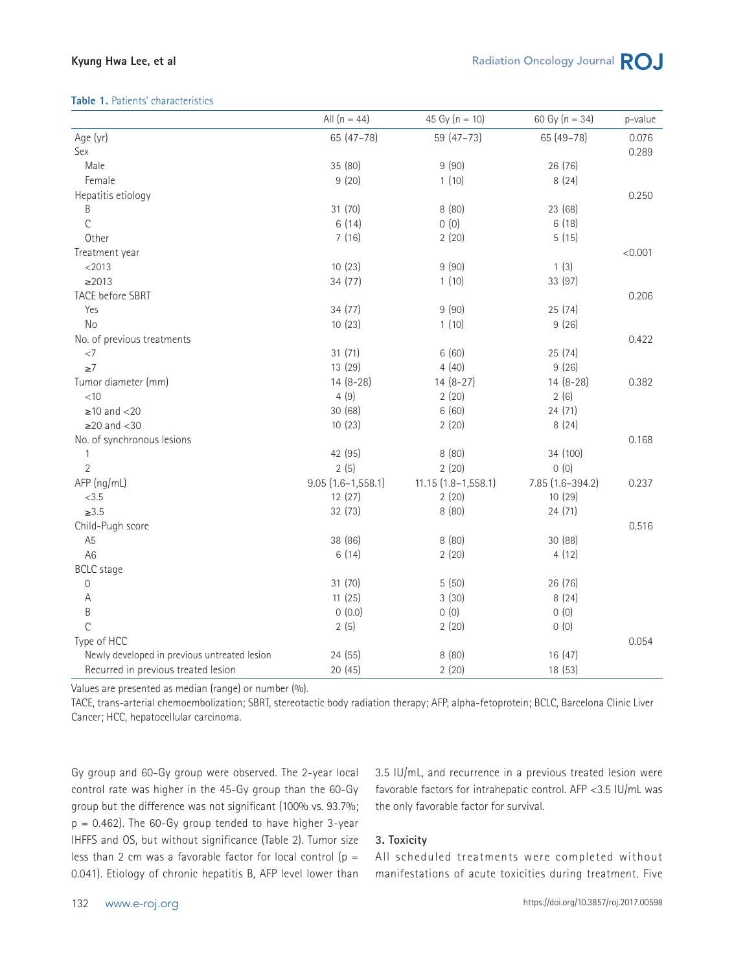#### **Kyung Hwa Lee, et al**

#### **Table 1.** Patients' characteristics

| Age (yr)<br>65 (47-78)<br>59 (47-73)<br>65 (49-78)<br>0.076<br>Sex<br>0.289                  |  |
|----------------------------------------------------------------------------------------------|--|
|                                                                                              |  |
|                                                                                              |  |
| 35 (80)<br>Male<br>9(90)<br>26 (76)                                                          |  |
| 9(20)<br>Female<br>1(10)<br>8(24)                                                            |  |
| Hepatitis etiology<br>0.250                                                                  |  |
| B<br>31 (70)<br>23 (68)<br>8(80)                                                             |  |
| C<br>6(14)<br>0(0)<br>6(18)                                                                  |  |
| Other<br>7(16)<br>2(20)<br>5(15)                                                             |  |
| < 0.001<br>Treatment year                                                                    |  |
| 10(23)<br>1(3)<br>$<$ 2013<br>9(90)                                                          |  |
| $\geq$ 2013<br>34 (77)<br>1(10)<br>33 (97)                                                   |  |
| <b>TACE before SBRT</b><br>0.206                                                             |  |
| Yes<br>34(77)<br>9(90)<br>25(74)                                                             |  |
| No<br>10(23)<br>1(10)<br>9(26)                                                               |  |
| No. of previous treatments<br>0.422                                                          |  |
| 31(71)<br>$<7\,$<br>6(60)<br>25(74)                                                          |  |
| 4(40)<br>$\geq 7$<br>13 (29)<br>9(26)                                                        |  |
| $14(8-28)$<br>$14(8-27)$<br>$14(8-28)$<br>Tumor diameter (mm)<br>0.382                       |  |
| 4(9)<br>2(20)<br>2(6)<br>< 10                                                                |  |
| 30 (68)<br>6(60)<br>24 (71)<br>$\geq$ 10 and <20                                             |  |
| $\geq$ 20 and <30<br>10(23)<br>2(20)<br>8(24)                                                |  |
| No. of synchronous lesions<br>0.168                                                          |  |
| 42 (95)<br>34 (100)<br>$\mathbf{1}$<br>8(80)                                                 |  |
| 2(5)<br>2(20)<br>0(0)<br>$\overline{2}$                                                      |  |
| AFP (ng/mL)<br>$9.05(1.6 - 1, 558.1)$<br>$11.15(1.8 - 1.558.1)$<br>7.85 (1.6-394.2)<br>0.237 |  |
| < 3.5<br>12(27)<br>2(20)<br>10(29)                                                           |  |
| $\geq 3.5$<br>8(80)<br>32 (73)<br>24 (71)                                                    |  |
| Child-Pugh score<br>0.516                                                                    |  |
| 38 (86)<br>A <sub>5</sub><br>8(80)<br>30 (88)                                                |  |
| 6(14)<br>A <sub>6</sub><br>2(20)<br>4(12)                                                    |  |
| <b>BCLC</b> stage                                                                            |  |
| 31 (70)<br>26 (76)<br>$\mathbf 0$<br>5(50)                                                   |  |
| 11(25)<br>8(24)<br>A<br>3(30)                                                                |  |
| B<br>0(0.0)<br>0(0)<br>0(0)                                                                  |  |
| $\overline{C}$<br>2(5)<br>2(20)<br>0(0)                                                      |  |
| Type of HCC<br>0.054                                                                         |  |
| Newly developed in previous untreated lesion<br>24 (55)<br>8(80)<br>16(47)                   |  |
| Recurred in previous treated lesion<br>20(45)<br>2(20)<br>18 (53)                            |  |

Values are presented as median (range) or number (%).

TACE, trans-arterial chemoembolization; SBRT, stereotactic body radiation therapy; AFP, alpha-fetoprotein; BCLC, Barcelona Clinic Liver Cancer; HCC, hepatocellular carcinoma.

Gy group and 60-Gy group were observed. The 2-year local control rate was higher in the 45-Gy group than the 60-Gy group but the difference was not significant (100% vs. 93.7%;  $p = 0.462$ ). The 60-Gy group tended to have higher 3-year IHFFS and OS, but without significance (Table 2). Tumor size less than 2 cm was a favorable factor for local control ( $p =$ 0.041). Etiology of chronic hepatitis B, AFP level lower than 3.5 IU/mL, and recurrence in a previous treated lesion were favorable factors for intrahepatic control. AFP <3.5 IU/mL was the only favorable factor for survival.

#### **3. Toxicity**

All scheduled treatments were completed without manifestations of acute toxicities during treatment. Five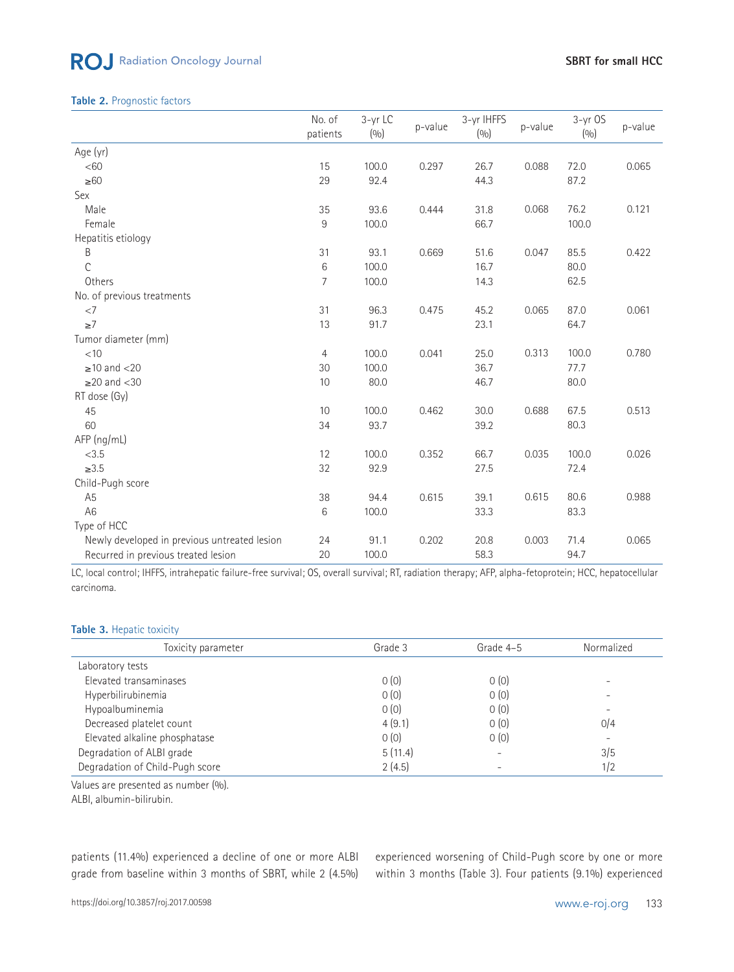# ROJ Radiation Oncology Journal

#### **Table 2.** Prognostic factors

|                                              | No. of<br>patients | 3-yr LC<br>(0/0) | p-value | 3-yr IHFFS<br>(0/0) | p-value | $3-yr$ OS<br>(0/0) | p-value |
|----------------------------------------------|--------------------|------------------|---------|---------------------|---------|--------------------|---------|
| Age (yr)                                     |                    |                  |         |                     |         |                    |         |
| <60                                          | 15                 | 100.0            | 0.297   | 26.7                | 0.088   | 72.0               | 0.065   |
| $\geq 60$                                    | 29                 | 92.4             |         | 44.3                |         | 87.2               |         |
| Sex                                          |                    |                  |         |                     |         |                    |         |
| Male                                         | 35                 | 93.6             | 0.444   | 31.8                | 0.068   | 76.2               | 0.121   |
| Female                                       | $\,9$              | 100.0            |         | 66.7                |         | 100.0              |         |
| Hepatitis etiology                           |                    |                  |         |                     |         |                    |         |
| B                                            | 31                 | 93.1             | 0.669   | 51.6                | 0.047   | 85.5               | 0.422   |
| $\mathcal{C}$                                | 6                  | 100.0            |         | 16.7                |         | 80.0               |         |
| Others                                       | 7                  | 100.0            |         | 14.3                |         | 62.5               |         |
| No. of previous treatments                   |                    |                  |         |                     |         |                    |         |
| $<$ 7                                        | 31                 | 96.3             | 0.475   | 45.2                | 0.065   | 87.0               | 0.061   |
| ${\geq}7$                                    | 13                 | 91.7             |         | 23.1                |         | 64.7               |         |
| Tumor diameter (mm)                          |                    |                  |         |                     |         |                    |         |
| < 10                                         | $\overline{4}$     | 100.0            | 0.041   | 25.0                | 0.313   | 100.0              | 0.780   |
| $\geq$ 10 and <20                            | 30                 | 100.0            |         | 36.7                |         | 77.7               |         |
| $\geq$ 20 and <30                            | $10$               | 80.0             |         | 46.7                |         | 80.0               |         |
| RT dose (Gy)                                 |                    |                  |         |                     |         |                    |         |
| 45                                           | 10                 | 100.0            | 0.462   | 30.0                | 0.688   | 67.5               | 0.513   |
| 60                                           | 34                 | 93.7             |         | 39.2                |         | 80.3               |         |
| $AFP$ (ng/mL)                                |                    |                  |         |                     |         |                    |         |
| < 3.5                                        | 12                 | 100.0            | 0.352   | 66.7                | 0.035   | 100.0              | 0.026   |
| $\geq 3.5$                                   | 32                 | 92.9             |         | 27.5                |         | 72.4               |         |
| Child-Pugh score                             |                    |                  |         |                     |         |                    |         |
| A <sub>5</sub>                               | 38                 | 94.4             | 0.615   | 39.1                | 0.615   | 80.6               | 0.988   |
| A <sub>6</sub>                               | 6                  | 100.0            |         | 33.3                |         | 83.3               |         |
| Type of HCC                                  |                    |                  |         |                     |         |                    |         |
| Newly developed in previous untreated lesion | 24                 | 91.1             | 0.202   | 20.8                | 0.003   | 71.4               | 0.065   |
| Recurred in previous treated lesion          | 20                 | 100.0            |         | 58.3                |         | 94.7               |         |

LC, local control; IHFFS, intrahepatic failure-free survival; OS, overall survival; RT, radiation therapy; AFP, alpha-fetoprotein; HCC, hepatocellular carcinoma.

#### Table 3. Hepatic toxicity

| Toxicity parameter              | Grade 3 | Grade 4-5 | Normalized |
|---------------------------------|---------|-----------|------------|
| Laboratory tests                |         |           |            |
| Elevated transaminases          | 0(0)    | 0(0)      |            |
| Hyperbilirubinemia              | 0(0)    | 0(0)      |            |
| Hypoalbuminemia                 | 0(0)    | 0(0)      |            |
| Decreased platelet count        | 4(9.1)  | 0(0)      | 0/4        |
| Elevated alkaline phosphatase   | 0(0)    | 0(0)      |            |
| Degradation of ALBI grade       | 5(11.4) |           | 3/5        |
| Degradation of Child-Pugh score | 2(4.5)  |           | 1/2        |

Values are presented as number (%).

ALBI, albumin-bilirubin.

patients (11.4%) experienced a decline of one or more ALBI grade from baseline within 3 months of SBRT, while 2 (4.5%) experienced worsening of Child-Pugh score by one or more within 3 months (Table 3). Four patients (9.1%) experienced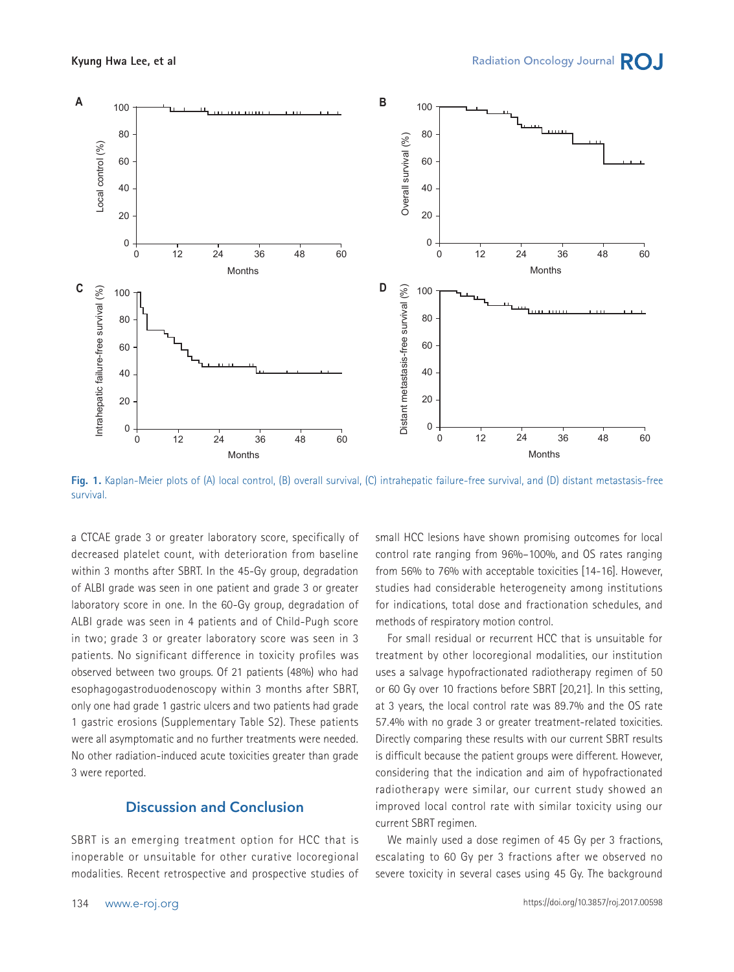

**Fig. 1.** Kaplan-Meier plots of (A) local control, (B) overall survival, (C) intrahepatic failure-free survival, and (D) distant metastasis-free survival.

a CTCAE grade 3 or greater laboratory score, specifically of 60 decreased platelet count, with deterioration from baseline within 3 months after SBRT. In the 45-Gy group, degradation of ALBI grade was seen in one patient and grade 3 or greater laboratory score in one. In the 60-Gy group, degradation of 0 0 ALBI grade was seen in 4 patients and of Child-Pugh score in two; grade 3 or greater laboratory score was seen in 3 patients. No significant difference in toxicity profiles was observed between two groups. Of 21 patients (48%) who had esophagogastroduodenoscopy within 3 months after SBRT, 80 only one had grade 1 gastric ulcers and two patients had grade 60 1 gastric erosions (Supplementary Table S2). These patients were all asymptomatic and no further treatments were needed. No other radiation-induced acute toxicities greater than grade 23 were reported. Distant metastasis<br>Distant<br>Dista **I.**<br>
CA<br>
ea<br>
B<br>
at<br>
at nt<br>ve<br>an<br>stral<br>ch<br>e

# **Discussion and Conclusion**

SBRT is an emerging treatment option for HCC that is inoperable or unsuitable for other curative locoregional modalities. Recent retrospective and prospective studies of small HCC lesions have shown promising outcomes for local control rate ranging from 96%-100%, and OS rates ranging from 56% to 76% with acceptable toxicities [14-16]. However, studies had considerable heterogeneity among institutions for indications, total dose and fractionation schedules, and methods of respiratory motion control. n<br>Piol<br>Distant<br>End

For small residual or recurrent HCC that is unsuitable for treatment by other locoregional modalities, our institution uses a salvage hypofractionated radiotherapy regimen of 50 or 60 Gy over 10 fractions before SBRT [20,21]. In this setting, at 3 years, the local control rate was 89.7% and the OS rate 57.4% with no grade 3 or greater treatment-related toxicities. Directly comparing these results with our current SBRT results is difficult because the patient groups were different. However, considering that the indication and aim of hypofractionated radiotherapy were similar, our current study showed an improved local control rate with similar toxicity using our current SBRT regimen.

We mainly used a dose regimen of 45 Gy per 3 fractions, escalating to 60 Gy per 3 fractions after we observed no severe toxicity in several cases using 45 Gy. The background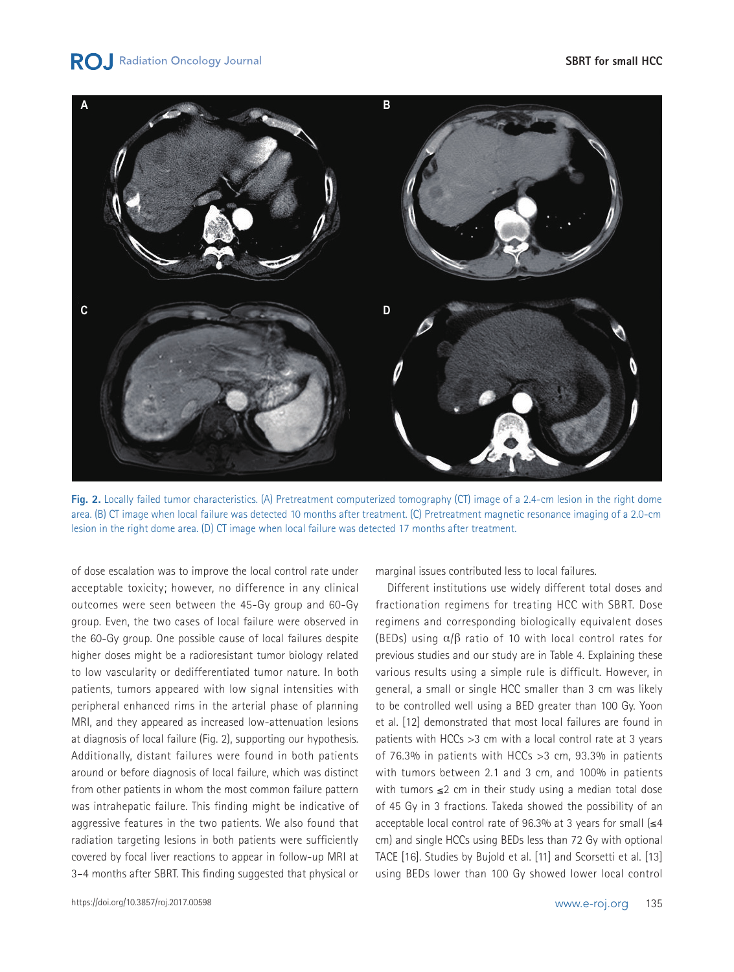of dose escalation was to improve the local control rate under acceptable toxicity; however, no difference in any clinical outcomes were seen between the 45-Gy group and 60-Gy group. Even, the two cases of local failure were observed in the 60-Gy group. One possible cause of local failures despite higher doses might be a radioresistant tumor biology related to low vascularity or dedifferentiated tumor nature. In both patients, tumors appeared with low signal intensities with peripheral enhanced rims in the arterial phase of planning MRI, and they appeared as increased low-attenuation lesions at diagnosis of local failure (Fig. 2), supporting our hypothesis.

Additionally, distant failures were found in both patients around or before diagnosis of local failure, which was distinct from other patients in whom the most common failure pattern was intrahepatic failure. This finding might be indicative of aggressive features in the two patients. We also found that radiation targeting lesions in both patients were sufficiently covered by focal liver reactions to appear in follow-up MRI at

3–4 months after SBRT. This finding suggested that physical or

marginal issues contributed less to local failures.

Different institutions use widely different total doses and fractionation regimens for treating HCC with SBRT. Dose regimens and corresponding biologically equivalent doses (BEDs) using  $\alpha/\beta$  ratio of 10 with local control rates for previous studies and our study are in Table 4. Explaining these various results using a simple rule is difficult. However, in general, a small or single HCC smaller than 3 cm was likely to be controlled well using a BED greater than 100 Gy. Yoon et al. [12] demonstrated that most local failures are found in patients with HCCs >3 cm with a local control rate at 3 years of 76.3% in patients with HCCs >3 cm, 93.3% in patients with tumors between 2.1 and 3 cm, and 100% in patients with tumors ≤2 cm in their study using a median total dose of 45 Gy in 3 fractions. Takeda showed the possibility of an acceptable local control rate of 96.3% at 3 years for small  $\leq 4$ cm) and single HCCs using BEDs less than 72 Gy with optional TACE [16]. Studies by Bujold et al. [11] and Scorsetti et al. [13] using BEDs lower than 100 Gy showed lower local control

**Fig. 2.** Locally failed tumor characteristics. (A) Pretreatment computerized tomography (CT) image of a 2.4-cm lesion in the right dome area. (B) CT image when local failure was detected 10 months after treatment. (C) Pretreatment magnetic resonance imaging of a 2.0-cm lesion in the right dome area. (D) CT image when local failure was detected 17 months after treatment.

**RO** Radiation Oncology Journal

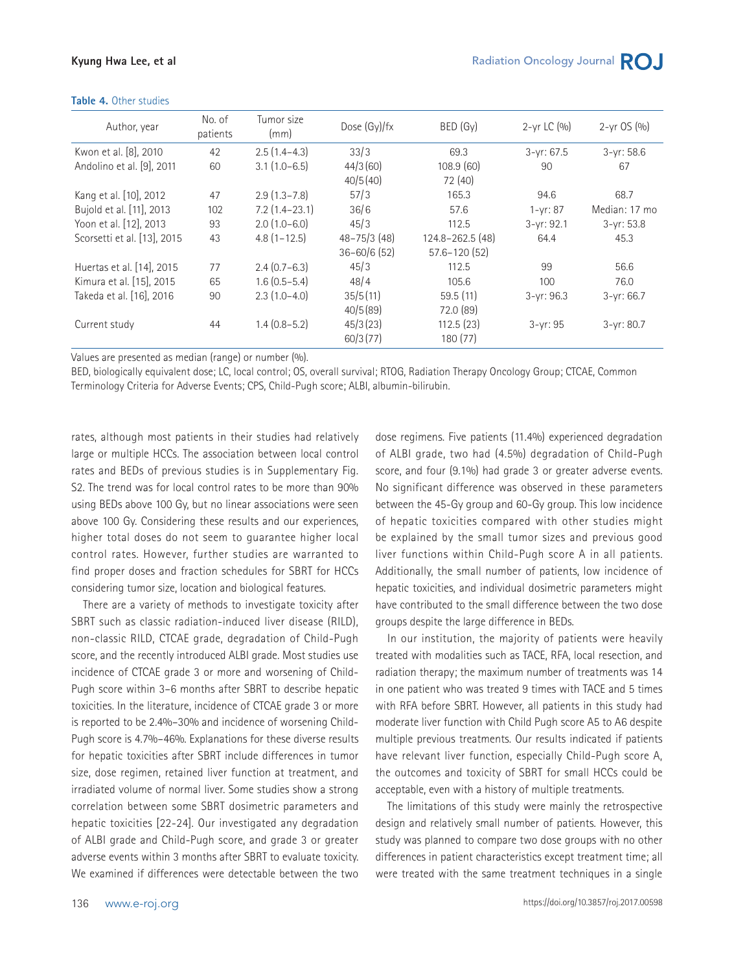#### **Kyung Hwa Lee, et al**

| Author, year                | No. of<br>patients | Tumor size<br>(mm) | Dose (Gy)/fx     | BED (Gy)         | $2 - yr$ LC $(9/0)$ | $2-yr$ OS $(0/0)$ |
|-----------------------------|--------------------|--------------------|------------------|------------------|---------------------|-------------------|
| Kwon et al. [8], 2010       | 42                 | $2.5(1.4-4.3)$     | 33/3             | 69.3             | $3-yr: 67.5$        | $3-yr: 58.6$      |
| Andolino et al. [9], 2011   | 60                 | $3.1(1.0-6.5)$     | 44/3(60)         | 108.9(60)        | 90                  | 67                |
|                             |                    |                    | 40/5(40)         | 72 (40)          |                     |                   |
| Kang et al. [10], 2012      | 47                 | $2.9(1.3 - 7.8)$   | 57/3             | 165.3            | 94.6                | 68.7              |
| Bujold et al. [11], 2013    | 102                | $7.2(1.4-23.1)$    | 36/6             | 57.6             | $1 - yr: 87$        | Median: 17 mo     |
| Yoon et al. [12], 2013      | 93                 | $2.0(1.0-6.0)$     | 45/3             | 112.5            | $3-yr: 92.1$        | $3-yr: 53.8$      |
| Scorsetti et al. [13], 2015 | 43                 | $4.8(1 - 12.5)$    | $48 - 75/3$ (48) | 124.8-262.5 (48) | 64.4                | 45.3              |
|                             |                    |                    | $36 - 60/6$ (52) | $57.6 - 120(52)$ |                     |                   |
| Huertas et al. [14], 2015   | 77                 | $2.4(0.7-6.3)$     | 45/3             | 112.5            | 99                  | 56.6              |
| Kimura et al. [15], 2015    | 65                 | $1.6(0.5-5.4)$     | 48/4             | 105.6            | 100                 | 76.0              |
| Takeda et al. [16], 2016    | 90                 | $2.3(1.0-4.0)$     | 35/5(11)         | 59.5(11)         | $3 - yr: 96.3$      | $3 - yr: 66.7$    |
|                             |                    |                    | 40/5(89)         | 72.0 (89)        |                     |                   |
| Current study               | 44                 | $1.4(0.8-5.2)$     | 45/3(23)         | 112.5(23)        | $3 - yr: 95$        | $3-yr: 80.7$      |
|                             |                    |                    | 60/3(77)         | 180 (77)         |                     |                   |

#### **Table 4.** Other studies

Values are presented as median (range) or number (%).

BED, biologically equivalent dose; LC, local control; OS, overall survival; RTOG, Radiation Therapy Oncology Group; CTCAE, Common Terminology Criteria for Adverse Events; CPS, Child-Pugh score; ALBI, albumin-bilirubin.

rates, although most patients in their studies had relatively large or multiple HCCs. The association between local control rates and BEDs of previous studies is in Supplementary Fig. S2. The trend was for local control rates to be more than 90% using BEDs above 100 Gy, but no linear associations were seen above 100 Gy. Considering these results and our experiences, higher total doses do not seem to guarantee higher local control rates. However, further studies are warranted to find proper doses and fraction schedules for SBRT for HCCs considering tumor size, location and biological features.

There are a variety of methods to investigate toxicity after SBRT such as classic radiation-induced liver disease (RILD), non-classic RILD, CTCAE grade, degradation of Child-Pugh score, and the recently introduced ALBI grade. Most studies use incidence of CTCAE grade 3 or more and worsening of Child-Pugh score within 3–6 months after SBRT to describe hepatic toxicities. In the literature, incidence of CTCAE grade 3 or more is reported to be 2.4%–30% and incidence of worsening Child-Pugh score is 4.7%–46%. Explanations for these diverse results for hepatic toxicities after SBRT include differences in tumor size, dose regimen, retained liver function at treatment, and irradiated volume of normal liver. Some studies show a strong correlation between some SBRT dosimetric parameters and hepatic toxicities [22-24]. Our investigated any degradation of ALBI grade and Child-Pugh score, and grade 3 or greater adverse events within 3 months after SBRT to evaluate toxicity. We examined if differences were detectable between the two

dose regimens. Five patients (11.4%) experienced degradation of ALBI grade, two had (4.5%) degradation of Child-Pugh score, and four (9.1%) had grade 3 or greater adverse events. No significant difference was observed in these parameters between the 45-Gy group and 60-Gy group. This low incidence of hepatic toxicities compared with other studies might be explained by the small tumor sizes and previous good liver functions within Child-Pugh score A in all patients. Additionally, the small number of patients, low incidence of hepatic toxicities, and individual dosimetric parameters might have contributed to the small difference between the two dose groups despite the large difference in BEDs.

In our institution, the majority of patients were heavily treated with modalities such as TACE, RFA, local resection, and radiation therapy; the maximum number of treatments was 14 in one patient who was treated 9 times with TACE and 5 times with RFA before SBRT. However, all patients in this study had moderate liver function with Child Pugh score A5 to A6 despite multiple previous treatments. Our results indicated if patients have relevant liver function, especially Child-Pugh score A, the outcomes and toxicity of SBRT for small HCCs could be acceptable, even with a history of multiple treatments.

The limitations of this study were mainly the retrospective design and relatively small number of patients. However, this study was planned to compare two dose groups with no other differences in patient characteristics except treatment time; all were treated with the same treatment techniques in a single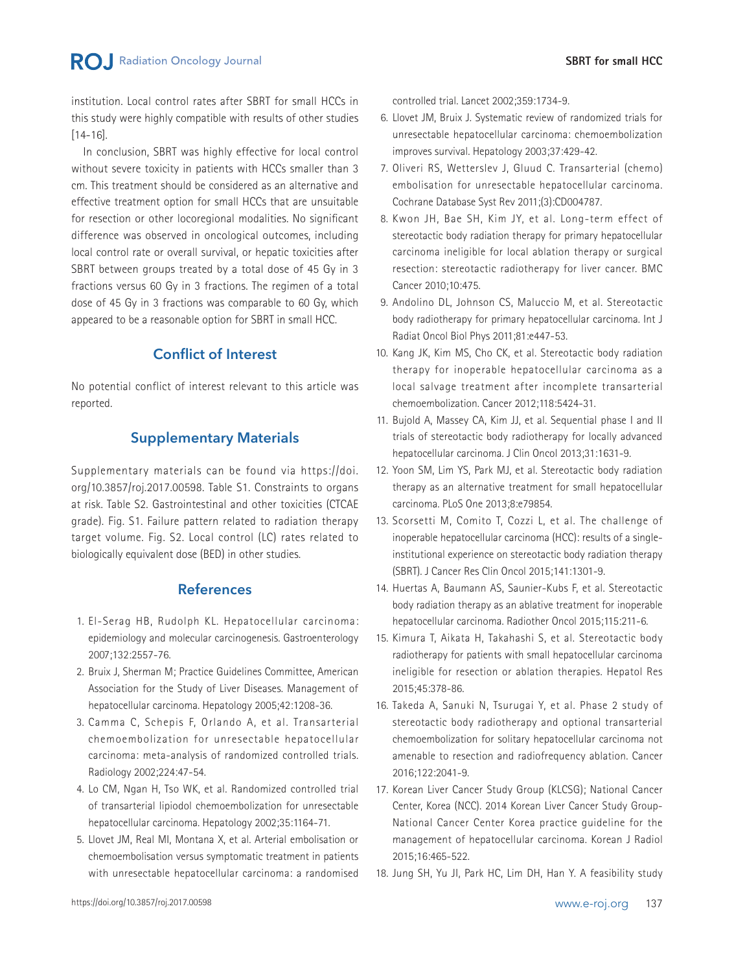# **RO** Radiation Oncology Journal

institution. Local control rates after SBRT for small HCCs in this study were highly compatible with results of other studies [14-16].

In conclusion, SBRT was highly effective for local control without severe toxicity in patients with HCCs smaller than 3 cm. This treatment should be considered as an alternative and effective treatment option for small HCCs that are unsuitable for resection or other locoregional modalities. No significant difference was observed in oncological outcomes, including local control rate or overall survival, or hepatic toxicities after SBRT between groups treated by a total dose of 45 Gy in 3 fractions versus 60 Gy in 3 fractions. The regimen of a total dose of 45 Gy in 3 fractions was comparable to 60 Gy, which appeared to be a reasonable option for SBRT in small HCC.

# **Conflict of Interest**

No potential conflict of interest relevant to this article was reported.

# **Supplementary Materials**

Supplementary materials can be found via https://doi. org/10.3857/roj.2017.00598. Table S1. Constraints to organs at risk. Table S2. Gastrointestinal and other toxicities (CTCAE grade). Fig. S1. Failure pattern related to radiation therapy target volume. Fig. S2. Local control (LC) rates related to biologically equivalent dose (BED) in other studies.

### **References**

- 1. El-Serag HB, Rudolph KL. Hepatocellular carcinoma: epidemiology and molecular carcinogenesis. Gastroenterology 2007;132:2557-76.
- 2. Bruix J, Sherman M; Practice Guidelines Committee, American Association for the Study of Liver Diseases. Management of hepatocellular carcinoma. Hepatology 2005;42:1208-36.
- 3. Camma C, Schepis F, Orlando A, et al. Transarterial chemoembolization for unresectable hepatocellular carcinoma: meta-analysis of randomized controlled trials. Radiology 2002;224:47-54.
- 4. Lo CM, Ngan H, Tso WK, et al. Randomized controlled trial of transarterial lipiodol chemoembolization for unresectable hepatocellular carcinoma. Hepatology 2002;35:1164-71.
- 5. Llovet JM, Real MI, Montana X, et al. Arterial embolisation or chemoembolisation versus symptomatic treatment in patients with unresectable hepatocellular carcinoma: a randomised

controlled trial. Lancet 2002;359:1734-9.

- 6. Llovet JM, Bruix J. Systematic review of randomized trials for unresectable hepatocellular carcinoma: chemoembolization improves survival. Hepatology 2003;37:429-42.
- 7. Oliveri RS, Wetterslev J, Gluud C. Transarterial (chemo) embolisation for unresectable hepatocellular carcinoma. Cochrane Database Syst Rev 2011;(3):CD004787.
- 8. Kwon JH, Bae SH, Kim JY, et al. Long-term effect of stereotactic body radiation therapy for primary hepatocellular carcinoma ineligible for local ablation therapy or surgical resection: stereotactic radiotherapy for liver cancer. BMC Cancer 2010;10:475.
- 9. Andolino DL, Johnson CS, Maluccio M, et al. Stereotactic body radiotherapy for primary hepatocellular carcinoma. Int J Radiat Oncol Biol Phys 2011;81:e447-53.
- 10. Kang JK, Kim MS, Cho CK, et al. Stereotactic body radiation therapy for inoperable hepatocellular carcinoma as a local salvage treatment after incomplete transarterial chemoembolization. Cancer 2012;118:5424-31.
- 11. Bujold A, Massey CA, Kim JJ, et al. Sequential phase I and II trials of stereotactic body radiotherapy for locally advanced hepatocellular carcinoma. J Clin Oncol 2013;31:1631-9.
- 12. Yoon SM, Lim YS, Park MJ, et al. Stereotactic body radiation therapy as an alternative treatment for small hepatocellular carcinoma. PLoS One 2013;8:e79854.
- 13. Scorsetti M, Comito T, Cozzi L, et al. The challenge of inoperable hepatocellular carcinoma (HCC): results of a singleinstitutional experience on stereotactic body radiation therapy (SBRT). J Cancer Res Clin Oncol 2015;141:1301-9.
- 14. Huertas A, Baumann AS, Saunier-Kubs F, et al. Stereotactic body radiation therapy as an ablative treatment for inoperable hepatocellular carcinoma. Radiother Oncol 2015;115:211-6.
- 15. Kimura T, Aikata H, Takahashi S, et al. Stereotactic body radiotherapy for patients with small hepatocellular carcinoma ineligible for resection or ablation therapies. Hepatol Res 2015;45:378-86.
- 16. Takeda A, Sanuki N, Tsurugai Y, et al. Phase 2 study of stereotactic body radiotherapy and optional transarterial chemoembolization for solitary hepatocellular carcinoma not amenable to resection and radiofrequency ablation. Cancer 2016;122:2041-9.
- 17. Korean Liver Cancer Study Group (KLCSG); National Cancer Center, Korea (NCC). 2014 Korean Liver Cancer Study Group-National Cancer Center Korea practice guideline for the management of hepatocellular carcinoma. Korean J Radiol 2015;16:465-522.
- 18. Jung SH, Yu JI, Park HC, Lim DH, Han Y. A feasibility study